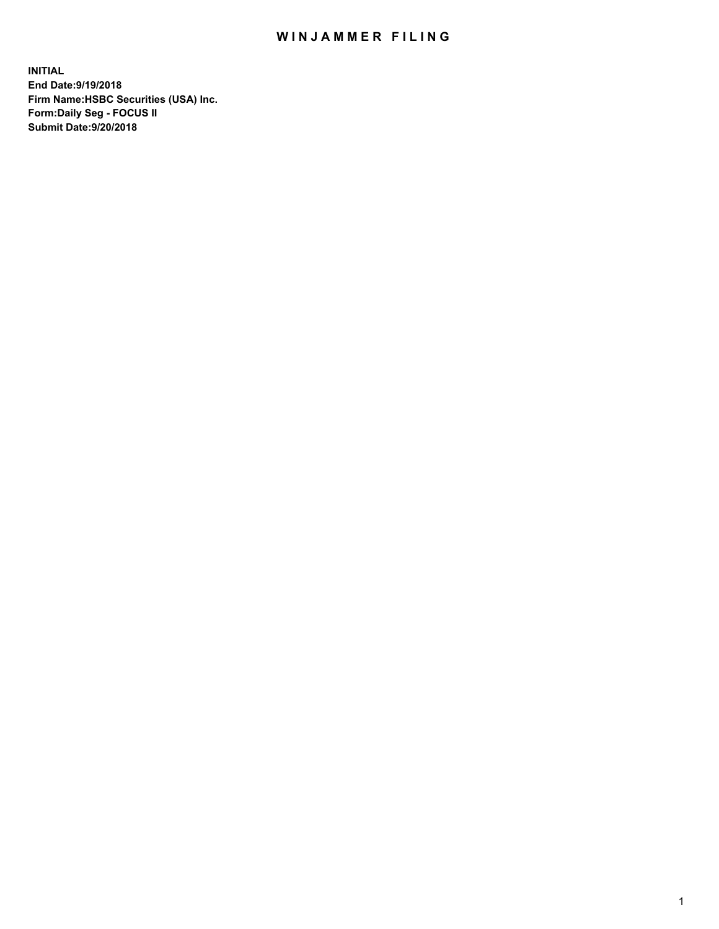## WIN JAMMER FILING

**INITIAL End Date:9/19/2018 Firm Name:HSBC Securities (USA) Inc. Form:Daily Seg - FOCUS II Submit Date:9/20/2018**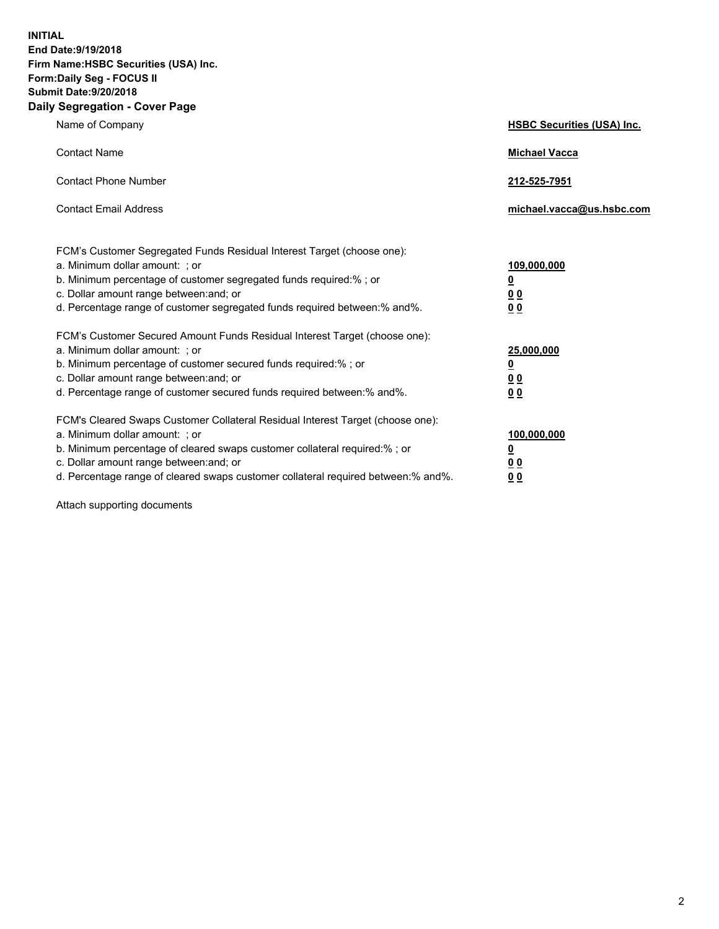**INITIAL End Date:9/19/2018 Firm Name:HSBC Securities (USA) Inc. Form:Daily Seg - FOCUS II Submit Date:9/20/2018 Daily Segregation - Cover Page**

| Name of Company                                                                                                                                                                                                                                                                                                                | <b>HSBC Securities (USA) Inc.</b>                                          |
|--------------------------------------------------------------------------------------------------------------------------------------------------------------------------------------------------------------------------------------------------------------------------------------------------------------------------------|----------------------------------------------------------------------------|
| <b>Contact Name</b>                                                                                                                                                                                                                                                                                                            | <b>Michael Vacca</b>                                                       |
| <b>Contact Phone Number</b>                                                                                                                                                                                                                                                                                                    | 212-525-7951                                                               |
| <b>Contact Email Address</b>                                                                                                                                                                                                                                                                                                   | michael.vacca@us.hsbc.com                                                  |
| FCM's Customer Segregated Funds Residual Interest Target (choose one):<br>a. Minimum dollar amount: ; or<br>b. Minimum percentage of customer segregated funds required:% ; or<br>c. Dollar amount range between: and; or<br>d. Percentage range of customer segregated funds required between:% and%.                         | 109,000,000<br>$\overline{\mathbf{0}}$<br>0 <sub>0</sub><br>0 <sub>0</sub> |
| FCM's Customer Secured Amount Funds Residual Interest Target (choose one):<br>a. Minimum dollar amount: ; or<br>b. Minimum percentage of customer secured funds required:% ; or<br>c. Dollar amount range between: and; or<br>d. Percentage range of customer secured funds required between: % and %.                         | 25,000,000<br>$\overline{\mathbf{0}}$<br>0 <sub>0</sub><br>0 <sub>0</sub>  |
| FCM's Cleared Swaps Customer Collateral Residual Interest Target (choose one):<br>a. Minimum dollar amount: ; or<br>b. Minimum percentage of cleared swaps customer collateral required:% ; or<br>c. Dollar amount range between: and; or<br>d. Percentage range of cleared swaps customer collateral required between:% and%. | 100,000,000<br>$\overline{\mathbf{0}}$<br>0 <sub>0</sub><br>00             |

Attach supporting documents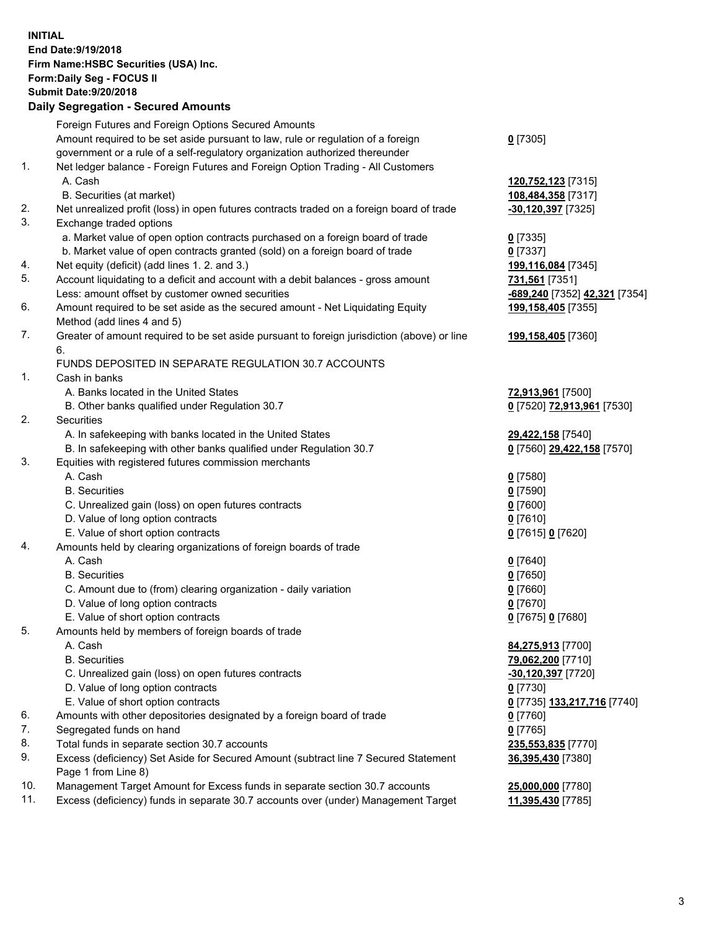**INITIAL End Date:9/19/2018 Firm Name:HSBC Securities (USA) Inc. Form:Daily Seg - FOCUS II Submit Date:9/20/2018 Daily Segregation - Secured Amounts** Foreign Futures and Foreign Options Secured Amounts Amount required to be set aside pursuant to law, rule or regulation of a foreign government or a rule of a self-regulatory organization authorized thereunder **0** [7305] 1. Net ledger balance - Foreign Futures and Foreign Option Trading - All Customers A. Cash **120,752,123** [7315] B. Securities (at market) **108,484,358** [7317] 2. Net unrealized profit (loss) in open futures contracts traded on a foreign board of trade **-30,120,397** [7325] 3. Exchange traded options a. Market value of open option contracts purchased on a foreign board of trade **0** [7335] b. Market value of open contracts granted (sold) on a foreign board of trade **0** [7337] 4. Net equity (deficit) (add lines 1. 2. and 3.) **199,116,084** [7345] 5. Account liquidating to a deficit and account with a debit balances - gross amount **731,561** [7351] Less: amount offset by customer owned securities **-689,240** [7352] **42,321** [7354] 6. Amount required to be set aside as the secured amount - Net Liquidating Equity Method (add lines 4 and 5) **199,158,405** [7355] 7. Greater of amount required to be set aside pursuant to foreign jurisdiction (above) or line 6. **199,158,405** [7360] FUNDS DEPOSITED IN SEPARATE REGULATION 30.7 ACCOUNTS 1. Cash in banks A. Banks located in the United States **72,913,961** [7500] B. Other banks qualified under Regulation 30.7 **0** [7520] **72,913,961** [7530] 2. Securities A. In safekeeping with banks located in the United States **29,422,158** [7540] B. In safekeeping with other banks qualified under Regulation 30.7 **0** [7560] **29,422,158** [7570] 3. Equities with registered futures commission merchants A. Cash **0** [7580] B. Securities **0** [7590] C. Unrealized gain (loss) on open futures contracts **0** [7600] D. Value of long option contracts **0** [7610] E. Value of short option contracts **0** [7615] **0** [7620] 4. Amounts held by clearing organizations of foreign boards of trade A. Cash **0** [7640] B. Securities **0** [7650] C. Amount due to (from) clearing organization - daily variation **0** [7660] D. Value of long option contracts **0** [7670] E. Value of short option contracts **0** [7675] **0** [7680] 5. Amounts held by members of foreign boards of trade A. Cash **84,275,913** [7700] B. Securities **79,062,200** [7710] C. Unrealized gain (loss) on open futures contracts **-30,120,397** [7720] D. Value of long option contracts **0** [7730] E. Value of short option contracts **0** [7735] **133,217,716** [7740] 6. Amounts with other depositories designated by a foreign board of trade **0** [7760] 7. Segregated funds on hand **0** [7765] 8. Total funds in separate section 30.7 accounts **235,553,835** [7770] 9. Excess (deficiency) Set Aside for Secured Amount (subtract line 7 Secured Statement Page 1 from Line 8) **36,395,430** [7380] 10. Management Target Amount for Excess funds in separate section 30.7 accounts **25,000,000** [7780]

11. Excess (deficiency) funds in separate 30.7 accounts over (under) Management Target **11,395,430** [7785]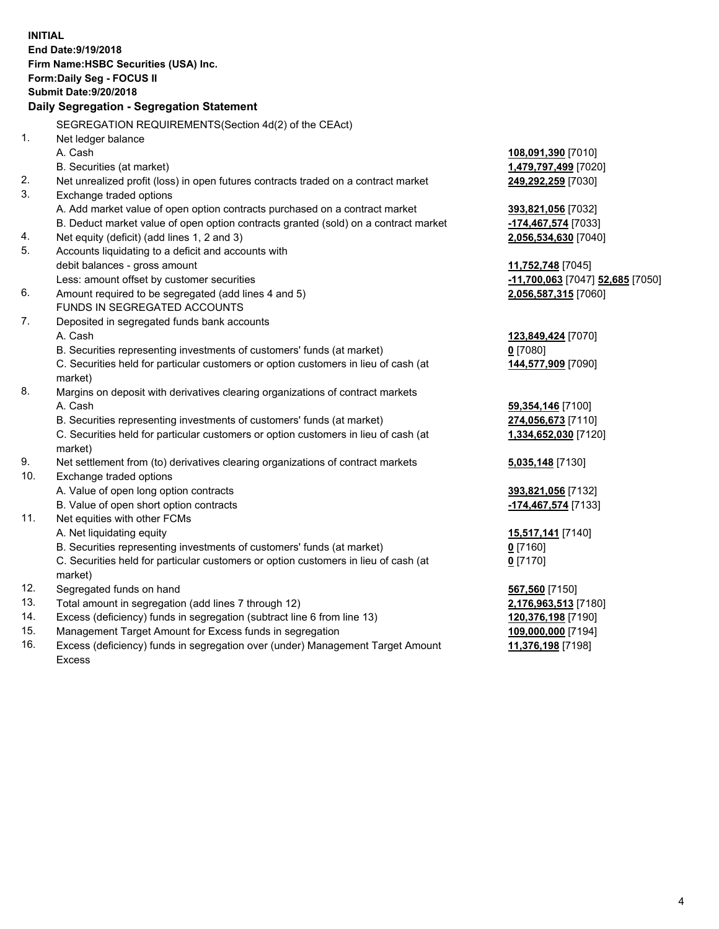**INITIAL End Date:9/19/2018 Firm Name:HSBC Securities (USA) Inc. Form:Daily Seg - FOCUS II Submit Date:9/20/2018 Daily Segregation - Segregation Statement** SEGREGATION REQUIREMENTS(Section 4d(2) of the CEAct) 1. Net ledger balance A. Cash **108,091,390** [7010] B. Securities (at market) **1,479,797,499** [7020] 2. Net unrealized profit (loss) in open futures contracts traded on a contract market **249,292,259** [7030] 3. Exchange traded options A. Add market value of open option contracts purchased on a contract market **393,821,056** [7032] B. Deduct market value of open option contracts granted (sold) on a contract market **-174,467,574** [7033] 4. Net equity (deficit) (add lines 1, 2 and 3) **2,056,534,630** [7040] 5. Accounts liquidating to a deficit and accounts with debit balances - gross amount **11,752,748** [7045] Less: amount offset by customer securities **-11,700,063** [7047] **52,685** [7050] 6. Amount required to be segregated (add lines 4 and 5) **2,056,587,315** [7060] FUNDS IN SEGREGATED ACCOUNTS 7. Deposited in segregated funds bank accounts A. Cash **123,849,424** [7070] B. Securities representing investments of customers' funds (at market) **0** [7080] C. Securities held for particular customers or option customers in lieu of cash (at market) **144,577,909** [7090] 8. Margins on deposit with derivatives clearing organizations of contract markets A. Cash **59,354,146** [7100] B. Securities representing investments of customers' funds (at market) **274,056,673** [7110] C. Securities held for particular customers or option customers in lieu of cash (at market) **1,334,652,030** [7120] 9. Net settlement from (to) derivatives clearing organizations of contract markets **5,035,148** [7130] 10. Exchange traded options A. Value of open long option contracts **393,821,056** [7132] B. Value of open short option contracts **-174,467,574** [7133] 11. Net equities with other FCMs A. Net liquidating equity **15,517,141** [7140] B. Securities representing investments of customers' funds (at market) **0** [7160] C. Securities held for particular customers or option customers in lieu of cash (at market) **0** [7170] 12. Segregated funds on hand **567,560** [7150] 13. Total amount in segregation (add lines 7 through 12) **2,176,963,513** [7180] 14. Excess (deficiency) funds in segregation (subtract line 6 from line 13) **120,376,198** [7190] 15. Management Target Amount for Excess funds in segregation **109,000,000** [7194] 16. Excess (deficiency) funds in segregation over (under) Management Target Amount **11,376,198** [7198]

Excess